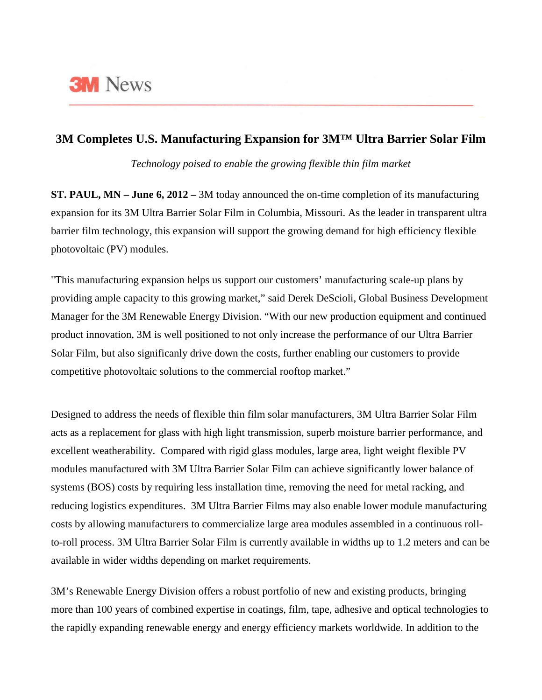

## **3M Completes U.S. Manufacturing Expansion for 3M™ Ultra Barrier Solar Film**

*Technology poised to enable the growing flexible thin film market*

**ST. PAUL, MN – June 6, 2012 –** 3M today announced the on-time completion of its manufacturing expansion for its 3M Ultra Barrier Solar Film in Columbia, Missouri. As the leader in transparent ultra barrier film technology, this expansion will support the growing demand for high efficiency flexible photovoltaic (PV) modules.

"This manufacturing expansion helps us support our customers' manufacturing scale-up plans by providing ample capacity to this growing market," said Derek DeScioli, Global Business Development Manager for the 3M Renewable Energy Division. "With our new production equipment and continued product innovation, 3M is well positioned to not only increase the performance of our Ultra Barrier Solar Film, but also significanly drive down the costs, further enabling our customers to provide competitive photovoltaic solutions to the commercial rooftop market."

Designed to address the needs of flexible thin film solar manufacturers, 3M Ultra Barrier Solar Film acts as a replacement for glass with high light transmission, superb moisture barrier performance, and excellent weatherability. Compared with rigid glass modules, large area, light weight flexible PV modules manufactured with 3M Ultra Barrier Solar Film can achieve significantly lower balance of systems (BOS) costs by requiring less installation time, removing the need for metal racking, and reducing logistics expenditures. 3M Ultra Barrier Films may also enable lower module manufacturing costs by allowing manufacturers to commercialize large area modules assembled in a continuous rollto-roll process. 3M Ultra Barrier Solar Film is currently available in widths up to 1.2 meters and can be available in wider widths depending on market requirements.

3M's Renewable Energy Division offers a robust portfolio of new and existing products, bringing more than 100 years of combined expertise in coatings, film, tape, adhesive and optical technologies to the rapidly expanding renewable energy and energy efficiency markets worldwide. In addition to the